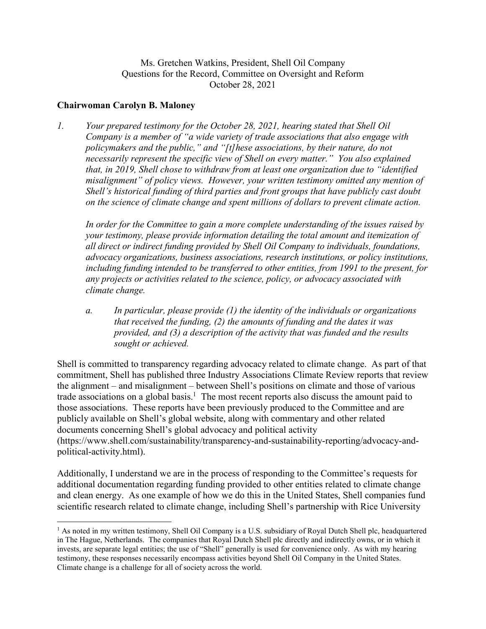Ms. Gretchen Watkins, President, Shell Oil Company Questions for the Record, Committee on Oversight and Reform October 28, 2021

## **Chairwoman Carolyn B. Maloney**

 $\overline{a}$ 

*1. Your prepared testimony for the October 28, 2021, hearing stated that Shell Oil Company is a member of "a wide variety of trade associations that also engage with policymakers and the public," and "[t]hese associations, by their nature, do not necessarily represent the specific view of Shell on every matter." You also explained that, in 2019, Shell chose to withdraw from at least one organization due to "identified misalignment" of policy views. However, your written testimony omitted any mention of Shell's historical funding of third parties and front groups that have publicly cast doubt on the science of climate change and spent millions of dollars to prevent climate action.* 

*In order for the Committee to gain a more complete understanding of the issues raised by your testimony, please provide information detailing the total amount and itemization of all direct or indirect funding provided by Shell Oil Company to individuals, foundations, advocacy organizations, business associations, research institutions, or policy institutions, including funding intended to be transferred to other entities, from 1991 to the present, for any projects or activities related to the science, policy, or advocacy associated with climate change.* 

*a. In particular, please provide (1) the identity of the individuals or organizations that received the funding, (2) the amounts of funding and the dates it was provided, and (3) a description of the activity that was funded and the results sought or achieved.* 

Shell is committed to transparency regarding advocacy related to climate change. As part of that commitment, Shell has published three Industry Associations Climate Review reports that review the alignment – and misalignment – between Shell's positions on climate and those of various trade associations on a global basis.<sup>1</sup> The most recent reports also discuss the amount paid to those associations. These reports have been previously produced to the Committee and are publicly available on Shell's global website, along with commentary and other related documents concerning Shell's global advocacy and political activity (https://www.shell.com/sustainability/transparency-and-sustainability-reporting/advocacy-andpolitical-activity.html).

Additionally, I understand we are in the process of responding to the Committee's requests for additional documentation regarding funding provided to other entities related to climate change and clean energy. As one example of how we do this in the United States, Shell companies fund scientific research related to climate change, including Shell's partnership with Rice University

<sup>&</sup>lt;sup>1</sup> As noted in my written testimony, Shell Oil Company is a U.S. subsidiary of Royal Dutch Shell plc, headquartered in The Hague, Netherlands. The companies that Royal Dutch Shell plc directly and indirectly owns, or in which it invests, are separate legal entities; the use of "Shell" generally is used for convenience only. As with my hearing testimony, these responses necessarily encompass activities beyond Shell Oil Company in the United States. Climate change is a challenge for all of society across the world.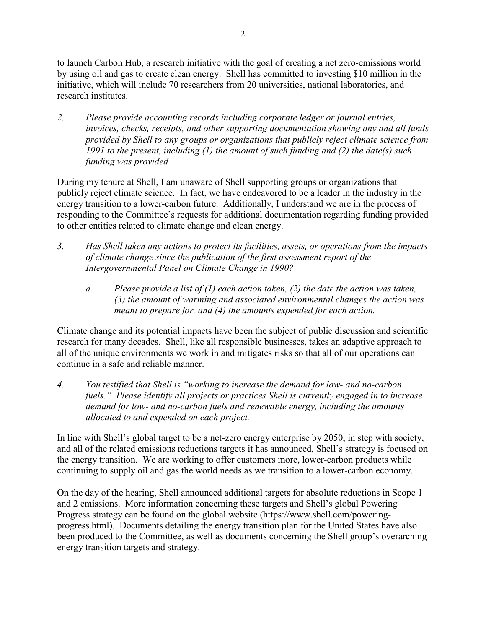to launch Carbon Hub, a research initiative with the goal of creating a net zero-emissions world by using oil and gas to create clean energy. Shell has committed to investing \$10 million in the initiative, which will include 70 researchers from 20 universities, national laboratories, and research institutes.

*2. Please provide accounting records including corporate ledger or journal entries, invoices, checks, receipts, and other supporting documentation showing any and all funds provided by Shell to any groups or organizations that publicly reject climate science from 1991 to the present, including (1) the amount of such funding and (2) the date(s) such funding was provided.* 

During my tenure at Shell, I am unaware of Shell supporting groups or organizations that publicly reject climate science. In fact, we have endeavored to be a leader in the industry in the energy transition to a lower-carbon future. Additionally, I understand we are in the process of responding to the Committee's requests for additional documentation regarding funding provided to other entities related to climate change and clean energy.

- *3. Has Shell taken any actions to protect its facilities, assets, or operations from the impacts of climate change since the publication of the first assessment report of the Intergovernmental Panel on Climate Change in 1990?* 
	- *a. Please provide a list of (1) each action taken, (2) the date the action was taken, (3) the amount of warming and associated environmental changes the action was meant to prepare for, and (4) the amounts expended for each action.*

Climate change and its potential impacts have been the subject of public discussion and scientific research for many decades. Shell, like all responsible businesses, takes an adaptive approach to all of the unique environments we work in and mitigates risks so that all of our operations can continue in a safe and reliable manner.

*4. You testified that Shell is "working to increase the demand for low- and no-carbon fuels." Please identify all projects or practices Shell is currently engaged in to increase demand for low- and no-carbon fuels and renewable energy, including the amounts allocated to and expended on each project.* 

In line with Shell's global target to be a net-zero energy enterprise by 2050, in step with society, and all of the related emissions reductions targets it has announced, Shell's strategy is focused on the energy transition. We are working to offer customers more, lower-carbon products while continuing to supply oil and gas the world needs as we transition to a lower-carbon economy.

On the day of the hearing, Shell announced additional targets for absolute reductions in Scope 1 and 2 emissions. More information concerning these targets and Shell's global Powering Progress strategy can be found on the global website (https://www.shell.com/poweringprogress.html). Documents detailing the energy transition plan for the United States have also been produced to the Committee, as well as documents concerning the Shell group's overarching energy transition targets and strategy.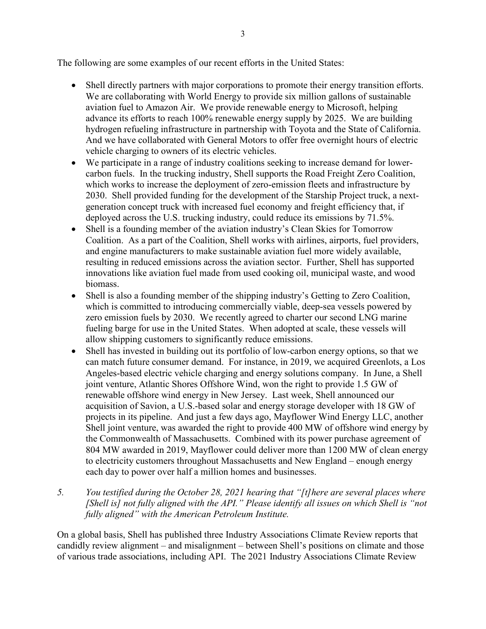The following are some examples of our recent efforts in the United States:

- Shell directly partners with major corporations to promote their energy transition efforts. We are collaborating with World Energy to provide six million gallons of sustainable aviation fuel to Amazon Air. We provide renewable energy to Microsoft, helping advance its efforts to reach 100% renewable energy supply by 2025. We are building hydrogen refueling infrastructure in partnership with Toyota and the State of California. And we have collaborated with General Motors to offer free overnight hours of electric vehicle charging to owners of its electric vehicles.
- We participate in a range of industry coalitions seeking to increase demand for lowercarbon fuels. In the trucking industry, Shell supports the Road Freight Zero Coalition, which works to increase the deployment of zero-emission fleets and infrastructure by 2030. Shell provided funding for the development of the Starship Project truck, a nextgeneration concept truck with increased fuel economy and freight efficiency that, if deployed across the U.S. trucking industry, could reduce its emissions by 71.5%.
- Shell is a founding member of the aviation industry's Clean Skies for Tomorrow Coalition. As a part of the Coalition, Shell works with airlines, airports, fuel providers, and engine manufacturers to make sustainable aviation fuel more widely available, resulting in reduced emissions across the aviation sector. Further, Shell has supported innovations like aviation fuel made from used cooking oil, municipal waste, and wood biomass.
- Shell is also a founding member of the shipping industry's Getting to Zero Coalition, which is committed to introducing commercially viable, deep-sea vessels powered by zero emission fuels by 2030. We recently agreed to charter our second LNG marine fueling barge for use in the United States. When adopted at scale, these vessels will allow shipping customers to significantly reduce emissions.
- Shell has invested in building out its portfolio of low-carbon energy options, so that we can match future consumer demand. For instance, in 2019, we acquired Greenlots, a Los Angeles-based electric vehicle charging and energy solutions company. In June, a Shell joint venture, Atlantic Shores Offshore Wind, won the right to provide 1.5 GW of renewable offshore wind energy in New Jersey. Last week, Shell announced our acquisition of Savion, a U.S.-based solar and energy storage developer with 18 GW of projects in its pipeline. And just a few days ago, Mayflower Wind Energy LLC, another Shell joint venture, was awarded the right to provide 400 MW of offshore wind energy by the Commonwealth of Massachusetts. Combined with its power purchase agreement of 804 MW awarded in 2019, Mayflower could deliver more than 1200 MW of clean energy to electricity customers throughout Massachusetts and New England – enough energy each day to power over half a million homes and businesses.
- *5. You testified during the October 28, 2021 hearing that "[t]here are several places where [Shell is] not fully aligned with the API." Please identify all issues on which Shell is "not fully aligned" with the American Petroleum Institute.*

On a global basis, Shell has published three Industry Associations Climate Review reports that candidly review alignment – and misalignment – between Shell's positions on climate and those of various trade associations, including API. The 2021 Industry Associations Climate Review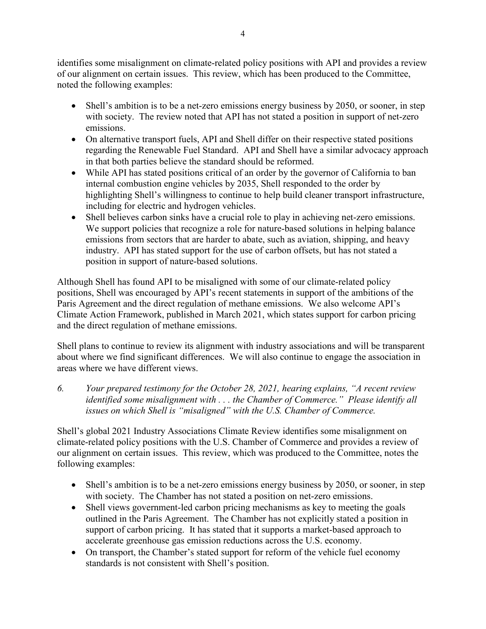identifies some misalignment on climate-related policy positions with API and provides a review of our alignment on certain issues. This review, which has been produced to the Committee, noted the following examples:

- Shell's ambition is to be a net-zero emissions energy business by 2050, or sooner, in step with society. The review noted that API has not stated a position in support of net-zero emissions.
- On alternative transport fuels, API and Shell differ on their respective stated positions regarding the Renewable Fuel Standard. API and Shell have a similar advocacy approach in that both parties believe the standard should be reformed.
- While API has stated positions critical of an order by the governor of California to ban internal combustion engine vehicles by 2035, Shell responded to the order by highlighting Shell's willingness to continue to help build cleaner transport infrastructure, including for electric and hydrogen vehicles.
- Shell believes carbon sinks have a crucial role to play in achieving net-zero emissions. We support policies that recognize a role for nature-based solutions in helping balance emissions from sectors that are harder to abate, such as aviation, shipping, and heavy industry. API has stated support for the use of carbon offsets, but has not stated a position in support of nature-based solutions.

Although Shell has found API to be misaligned with some of our climate-related policy positions, Shell was encouraged by API's recent statements in support of the ambitions of the Paris Agreement and the direct regulation of methane emissions. We also welcome API's Climate Action Framework, published in March 2021, which states support for carbon pricing and the direct regulation of methane emissions.

Shell plans to continue to review its alignment with industry associations and will be transparent about where we find significant differences. We will also continue to engage the association in areas where we have different views.

*6. Your prepared testimony for the October 28, 2021, hearing explains, "A recent review identified some misalignment with . . . the Chamber of Commerce." Please identify all issues on which Shell is "misaligned" with the U.S. Chamber of Commerce.* 

Shell's global 2021 Industry Associations Climate Review identifies some misalignment on climate-related policy positions with the U.S. Chamber of Commerce and provides a review of our alignment on certain issues. This review, which was produced to the Committee, notes the following examples:

- Shell's ambition is to be a net-zero emissions energy business by 2050, or sooner, in step with society. The Chamber has not stated a position on net-zero emissions.
- Shell views government-led carbon pricing mechanisms as key to meeting the goals outlined in the Paris Agreement. The Chamber has not explicitly stated a position in support of carbon pricing. It has stated that it supports a market-based approach to accelerate greenhouse gas emission reductions across the U.S. economy.
- On transport, the Chamber's stated support for reform of the vehicle fuel economy standards is not consistent with Shell's position.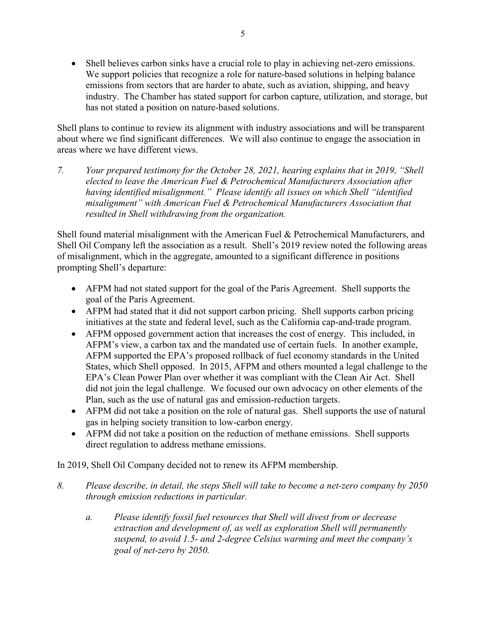Shell believes carbon sinks have a crucial role to play in achieving net-zero emissions. We support policies that recognize a role for nature-based solutions in helping balance emissions from sectors that are harder to abate, such as aviation, shipping, and heavy industry. The Chamber has stated support for carbon capture, utilization, and storage, but has not stated a position on nature-based solutions.

Shell plans to continue to review its alignment with industry associations and will be transparent about where we find significant differences. We will also continue to engage the association in areas where we have different views.

*7. Your prepared testimony for the October 28, 2021, hearing explains that in 2019, "Shell elected to leave the American Fuel & Petrochemical Manufacturers Association after having identified misalignment." Please identify all issues on which Shell "identified misalignment" with American Fuel & Petrochemical Manufacturers Association that resulted in Shell withdrawing from the organization.* 

Shell found material misalignment with the American Fuel & Petrochemical Manufacturers, and Shell Oil Company left the association as a result. Shell's 2019 review noted the following areas of misalignment, which in the aggregate, amounted to a significant difference in positions prompting Shell's departure:

- AFPM had not stated support for the goal of the Paris Agreement. Shell supports the goal of the Paris Agreement.
- AFPM had stated that it did not support carbon pricing. Shell supports carbon pricing initiatives at the state and federal level, such as the California cap-and-trade program.
- AFPM opposed government action that increases the cost of energy. This included, in AFPM's view, a carbon tax and the mandated use of certain fuels. In another example, AFPM supported the EPA's proposed rollback of fuel economy standards in the United States, which Shell opposed. In 2015, AFPM and others mounted a legal challenge to the EPA's Clean Power Plan over whether it was compliant with the Clean Air Act. Shell did not join the legal challenge. We focused our own advocacy on other elements of the Plan, such as the use of natural gas and emission-reduction targets.
- AFPM did not take a position on the role of natural gas. Shell supports the use of natural gas in helping society transition to low-carbon energy.
- AFPM did not take a position on the reduction of methane emissions. Shell supports direct regulation to address methane emissions.

In 2019, Shell Oil Company decided not to renew its AFPM membership.

- *8. Please describe, in detail, the steps Shell will take to become a net-zero company by 2050 through emission reductions in particular.* 
	- *a. Please identify fossil fuel resources that Shell will divest from or decrease extraction and development of, as well as exploration Shell will permanently suspend, to avoid 1.5- and 2-degree Celsius warming and meet the company's goal of net-zero by 2050.*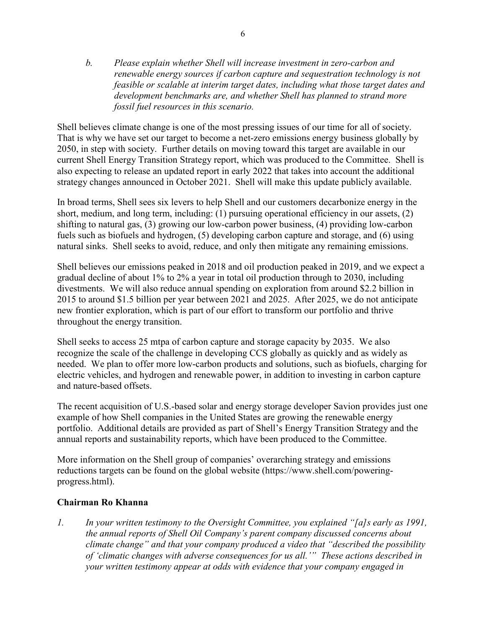*b. Please explain whether Shell will increase investment in zero-carbon and renewable energy sources if carbon capture and sequestration technology is not feasible or scalable at interim target dates, including what those target dates and development benchmarks are, and whether Shell has planned to strand more fossil fuel resources in this scenario.* 

Shell believes climate change is one of the most pressing issues of our time for all of society. That is why we have set our target to become a net-zero emissions energy business globally by 2050, in step with society. Further details on moving toward this target are available in our current Shell Energy Transition Strategy report, which was produced to the Committee. Shell is also expecting to release an updated report in early 2022 that takes into account the additional strategy changes announced in October 2021. Shell will make this update publicly available.

In broad terms, Shell sees six levers to help Shell and our customers decarbonize energy in the short, medium, and long term, including: (1) pursuing operational efficiency in our assets, (2) shifting to natural gas, (3) growing our low-carbon power business, (4) providing low-carbon fuels such as biofuels and hydrogen, (5) developing carbon capture and storage, and (6) using natural sinks. Shell seeks to avoid, reduce, and only then mitigate any remaining emissions.

Shell believes our emissions peaked in 2018 and oil production peaked in 2019, and we expect a gradual decline of about 1% to 2% a year in total oil production through to 2030, including divestments. We will also reduce annual spending on exploration from around \$2.2 billion in 2015 to around \$1.5 billion per year between 2021 and 2025. After 2025, we do not anticipate new frontier exploration, which is part of our effort to transform our portfolio and thrive throughout the energy transition.

Shell seeks to access 25 mtpa of carbon capture and storage capacity by 2035. We also recognize the scale of the challenge in developing CCS globally as quickly and as widely as needed. We plan to offer more low-carbon products and solutions, such as biofuels, charging for electric vehicles, and hydrogen and renewable power, in addition to investing in carbon capture and nature-based offsets.

The recent acquisition of U.S.-based solar and energy storage developer Savion provides just one example of how Shell companies in the United States are growing the renewable energy portfolio. Additional details are provided as part of Shell's Energy Transition Strategy and the annual reports and sustainability reports, which have been produced to the Committee.

More information on the Shell group of companies' overarching strategy and emissions reductions targets can be found on the global website (https://www.shell.com/poweringprogress.html).

## **Chairman Ro Khanna**

*1. In your written testimony to the Oversight Committee, you explained "[a]s early as 1991, the annual reports of Shell Oil Company's parent company discussed concerns about climate change" and that your company produced a video that "described the possibility of 'climatic changes with adverse consequences for us all.'" These actions described in your written testimony appear at odds with evidence that your company engaged in*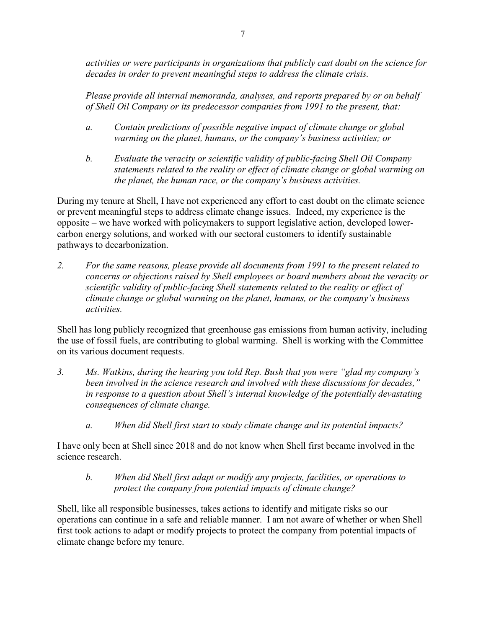*activities or were participants in organizations that publicly cast doubt on the science for decades in order to prevent meaningful steps to address the climate crisis.* 

*Please provide all internal memoranda, analyses, and reports prepared by or on behalf of Shell Oil Company or its predecessor companies from 1991 to the present, that:* 

- *a. Contain predictions of possible negative impact of climate change or global warming on the planet, humans, or the company's business activities; or*
- *b. Evaluate the veracity or scientific validity of public-facing Shell Oil Company statements related to the reality or effect of climate change or global warming on the planet, the human race, or the company's business activities.*

During my tenure at Shell, I have not experienced any effort to cast doubt on the climate science or prevent meaningful steps to address climate change issues. Indeed, my experience is the opposite – we have worked with policymakers to support legislative action, developed lowercarbon energy solutions, and worked with our sectoral customers to identify sustainable pathways to decarbonization.

*2. For the same reasons, please provide all documents from 1991 to the present related to concerns or objections raised by Shell employees or board members about the veracity or scientific validity of public-facing Shell statements related to the reality or effect of climate change or global warming on the planet, humans, or the company's business activities.* 

Shell has long publicly recognized that greenhouse gas emissions from human activity, including the use of fossil fuels, are contributing to global warming. Shell is working with the Committee on its various document requests.

- *3. Ms. Watkins, during the hearing you told Rep. Bush that you were "glad my company's been involved in the science research and involved with these discussions for decades," in response to a question about Shell's internal knowledge of the potentially devastating consequences of climate change.* 
	- *a. When did Shell first start to study climate change and its potential impacts?*

I have only been at Shell since 2018 and do not know when Shell first became involved in the science research.

### *b. When did Shell first adapt or modify any projects, facilities, or operations to protect the company from potential impacts of climate change?*

Shell, like all responsible businesses, takes actions to identify and mitigate risks so our operations can continue in a safe and reliable manner. I am not aware of whether or when Shell first took actions to adapt or modify projects to protect the company from potential impacts of climate change before my tenure.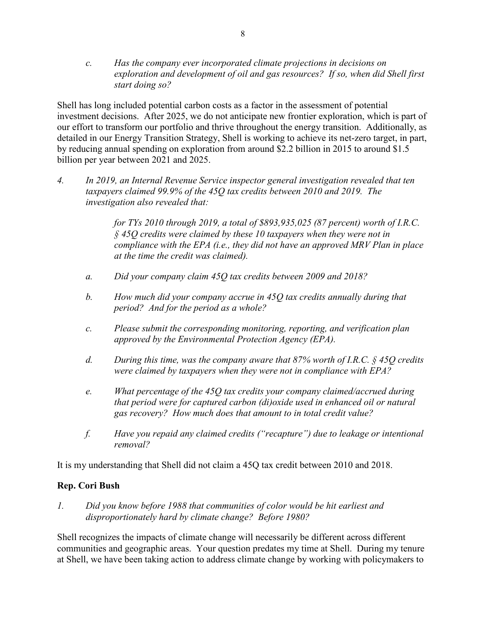*c. Has the company ever incorporated climate projections in decisions on exploration and development of oil and gas resources? If so, when did Shell first start doing so?* 

Shell has long included potential carbon costs as a factor in the assessment of potential investment decisions. After 2025, we do not anticipate new frontier exploration, which is part of our effort to transform our portfolio and thrive throughout the energy transition. Additionally, as detailed in our Energy Transition Strategy, Shell is working to achieve its net-zero target, in part, by reducing annual spending on exploration from around \$2.2 billion in 2015 to around \$1.5 billion per year between 2021 and 2025.

*4. In 2019, an Internal Revenue Service inspector general investigation revealed that ten taxpayers claimed 99.9% of the 45Q tax credits between 2010 and 2019. The investigation also revealed that:* 

> *for TYs 2010 through 2019, a total of \$893,935,025 (87 percent) worth of I.R.C. § 45Q credits were claimed by these 10 taxpayers when they were not in compliance with the EPA (i.e., they did not have an approved MRV Plan in place at the time the credit was claimed).*

- *a. Did your company claim 45Q tax credits between 2009 and 2018?*
- *b. How much did your company accrue in 45Q tax credits annually during that period? And for the period as a whole?*
- *c. Please submit the corresponding monitoring, reporting, and verification plan approved by the Environmental Protection Agency (EPA).*
- *d. During this time, was the company aware that 87% worth of I.R.C. § 45Q credits were claimed by taxpayers when they were not in compliance with EPA?*
- *e. What percentage of the 45Q tax credits your company claimed/accrued during that period were for captured carbon (di)oxide used in enhanced oil or natural gas recovery? How much does that amount to in total credit value?*
- *f. Have you repaid any claimed credits ("recapture") due to leakage or intentional removal?*

It is my understanding that Shell did not claim a 45Q tax credit between 2010 and 2018.

#### **Rep. Cori Bush**

*1. Did you know before 1988 that communities of color would be hit earliest and disproportionately hard by climate change? Before 1980?* 

Shell recognizes the impacts of climate change will necessarily be different across different communities and geographic areas. Your question predates my time at Shell. During my tenure at Shell, we have been taking action to address climate change by working with policymakers to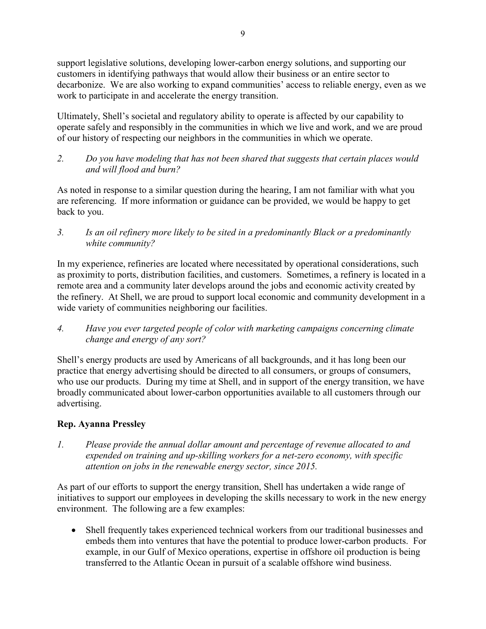support legislative solutions, developing lower-carbon energy solutions, and supporting our customers in identifying pathways that would allow their business or an entire sector to decarbonize. We are also working to expand communities' access to reliable energy, even as we work to participate in and accelerate the energy transition.

Ultimately, Shell's societal and regulatory ability to operate is affected by our capability to operate safely and responsibly in the communities in which we live and work, and we are proud of our history of respecting our neighbors in the communities in which we operate.

*2. Do you have modeling that has not been shared that suggests that certain places would and will flood and burn?* 

As noted in response to a similar question during the hearing, I am not familiar with what you are referencing. If more information or guidance can be provided, we would be happy to get back to you.

*3. Is an oil refinery more likely to be sited in a predominantly Black or a predominantly white community?* 

In my experience, refineries are located where necessitated by operational considerations, such as proximity to ports, distribution facilities, and customers. Sometimes, a refinery is located in a remote area and a community later develops around the jobs and economic activity created by the refinery. At Shell, we are proud to support local economic and community development in a wide variety of communities neighboring our facilities.

*4. Have you ever targeted people of color with marketing campaigns concerning climate change and energy of any sort?* 

Shell's energy products are used by Americans of all backgrounds, and it has long been our practice that energy advertising should be directed to all consumers, or groups of consumers, who use our products. During my time at Shell, and in support of the energy transition, we have broadly communicated about lower-carbon opportunities available to all customers through our advertising.

# **Rep. Ayanna Pressley**

*1. Please provide the annual dollar amount and percentage of revenue allocated to and expended on training and up-skilling workers for a net-zero economy, with specific attention on jobs in the renewable energy sector, since 2015.* 

As part of our efforts to support the energy transition, Shell has undertaken a wide range of initiatives to support our employees in developing the skills necessary to work in the new energy environment. The following are a few examples:

 Shell frequently takes experienced technical workers from our traditional businesses and embeds them into ventures that have the potential to produce lower-carbon products. For example, in our Gulf of Mexico operations, expertise in offshore oil production is being transferred to the Atlantic Ocean in pursuit of a scalable offshore wind business.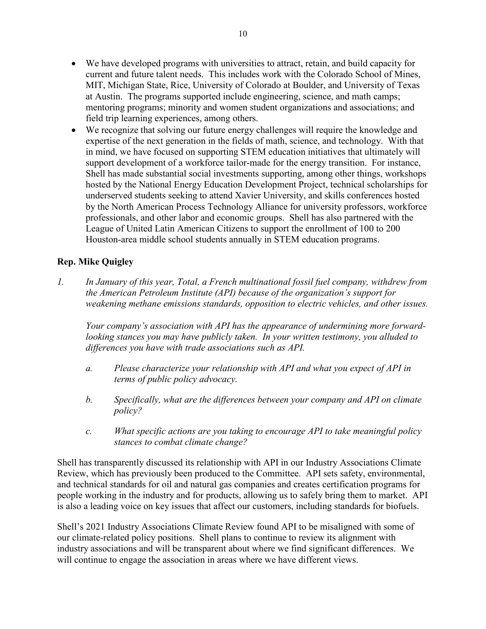- We have developed programs with universities to attract, retain, and build capacity for current and future talent needs. This includes work with the Colorado School of Mines, MIT, Michigan State, Rice, University of Colorado at Boulder, and University of Texas at Austin. The programs supported include engineering, science, and math camps; mentoring programs; minority and women student organizations and associations; and field trip learning experiences, among others.
- We recognize that solving our future energy challenges will require the knowledge and expertise of the next generation in the fields of math, science, and technology. With that in mind, we have focused on supporting STEM education initiatives that ultimately will support development of a workforce tailor-made for the energy transition. For instance, Shell has made substantial social investments supporting, among other things, workshops hosted by the National Energy Education Development Project, technical scholarships for underserved students seeking to attend Xavier University, and skills conferences hosted by the North American Process Technology Alliance for university professors, workforce professionals, and other labor and economic groups. Shell has also partnered with the League of United Latin American Citizens to support the enrollment of 100 to 200 Houston-area middle school students annually in STEM education programs.

## **Rep. Mike Quigley**

*1. In January of this year, Total, a French multinational fossil fuel company, withdrew from the American Petroleum Institute (API) because of the organization's support for weakening methane emissions standards, opposition to electric vehicles, and other issues.* 

*Your company's association with API has the appearance of undermining more forwardlooking stances you may have publicly taken. In your written testimony, you alluded to differences you have with trade associations such as API.* 

- *a. Please characterize your relationship with API and what you expect of API in terms of public policy advocacy.*
- *b. Specifically, what are the differences between your company and API on climate policy?*
- *c. What specific actions are you taking to encourage API to take meaningful policy stances to combat climate change?*

Shell has transparently discussed its relationship with API in our Industry Associations Climate Review, which has previously been produced to the Committee. API sets safety, environmental, and technical standards for oil and natural gas companies and creates certification programs for people working in the industry and for products, allowing us to safely bring them to market. API is also a leading voice on key issues that affect our customers, including standards for biofuels.

Shell's 2021 Industry Associations Climate Review found API to be misaligned with some of our climate-related policy positions. Shell plans to continue to review its alignment with industry associations and will be transparent about where we find significant differences. We will continue to engage the association in areas where we have different views.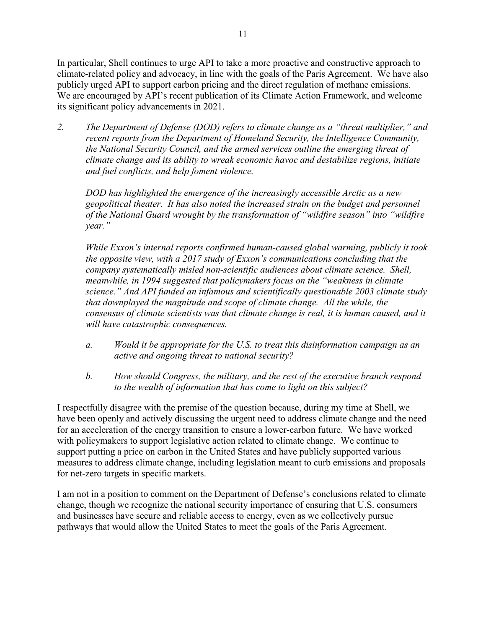In particular, Shell continues to urge API to take a more proactive and constructive approach to climate-related policy and advocacy, in line with the goals of the Paris Agreement. We have also publicly urged API to support carbon pricing and the direct regulation of methane emissions. We are encouraged by API's recent publication of its Climate Action Framework, and welcome its significant policy advancements in 2021.

*2. The Department of Defense (DOD) refers to climate change as a "threat multiplier," and recent reports from the Department of Homeland Security, the Intelligence Community, the National Security Council, and the armed services outline the emerging threat of climate change and its ability to wreak economic havoc and destabilize regions, initiate and fuel conflicts, and help foment violence.* 

*DOD has highlighted the emergence of the increasingly accessible Arctic as a new geopolitical theater. It has also noted the increased strain on the budget and personnel of the National Guard wrought by the transformation of "wildfire season" into "wildfire year."* 

*While Exxon's internal reports confirmed human-caused global warming, publicly it took the opposite view, with a 2017 study of Exxon's communications concluding that the company systematically misled non-scientific audiences about climate science. Shell, meanwhile, in 1994 suggested that policymakers focus on the "weakness in climate science." And API funded an infamous and scientifically questionable 2003 climate study that downplayed the magnitude and scope of climate change. All the while, the consensus of climate scientists was that climate change is real, it is human caused, and it will have catastrophic consequences.* 

- *a. Would it be appropriate for the U.S. to treat this disinformation campaign as an active and ongoing threat to national security?*
- *b. How should Congress, the military, and the rest of the executive branch respond to the wealth of information that has come to light on this subject?*

I respectfully disagree with the premise of the question because, during my time at Shell, we have been openly and actively discussing the urgent need to address climate change and the need for an acceleration of the energy transition to ensure a lower-carbon future. We have worked with policymakers to support legislative action related to climate change. We continue to support putting a price on carbon in the United States and have publicly supported various measures to address climate change, including legislation meant to curb emissions and proposals for net-zero targets in specific markets.

I am not in a position to comment on the Department of Defense's conclusions related to climate change, though we recognize the national security importance of ensuring that U.S. consumers and businesses have secure and reliable access to energy, even as we collectively pursue pathways that would allow the United States to meet the goals of the Paris Agreement.